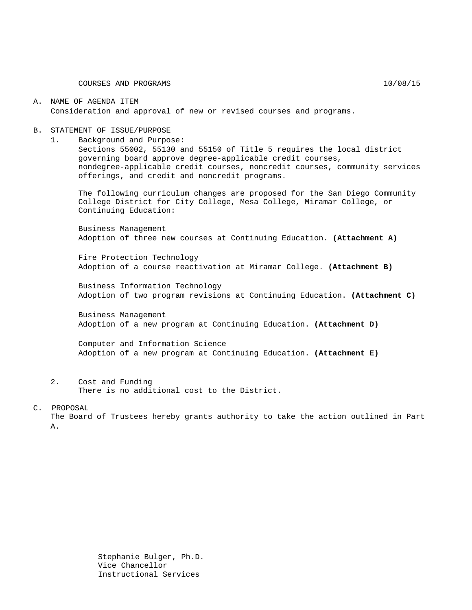COURSES AND PROGRAMS 10/08/15

#### A. NAME OF AGENDA ITEM Consideration and approval of new or revised courses and programs.

#### B. STATEMENT OF ISSUE/PURPOSE

1. Background and Purpose:

Sections 55002, 55130 and 55150 of Title 5 requires the local district governing board approve degree-applicable credit courses, nondegree-applicable credit courses, noncredit courses, community services offerings, and credit and noncredit programs.

The following curriculum changes are proposed for the San Diego Community College District for City College, Mesa College, Miramar College, or Continuing Education:

Business Management Adoption of three new courses at Continuing Education. **(Attachment A)**

Fire Protection Technology Adoption of a course reactivation at Miramar College. **(Attachment B)**

Business Information Technology Adoption of two program revisions at Continuing Education. **(Attachment C)**

Business Management Adoption of a new program at Continuing Education. **(Attachment D)**

Computer and Information Science Adoption of a new program at Continuing Education. **(Attachment E)**

2. Cost and Funding There is no additional cost to the District.

#### C. PROPOSAL

The Board of Trustees hereby grants authority to take the action outlined in Part A.

Stephanie Bulger, Ph.D. Vice Chancellor Instructional Services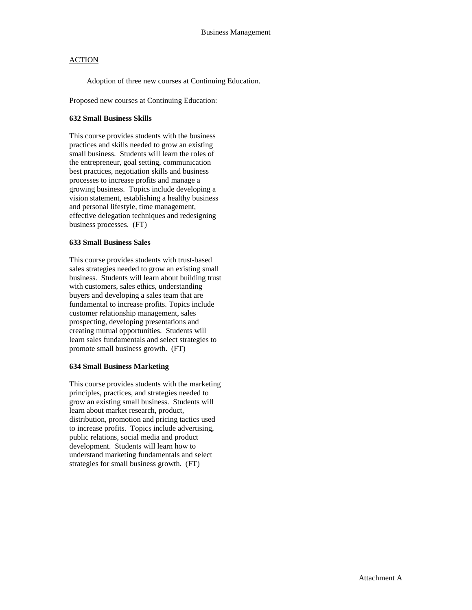### **ACTION**

Adoption of three new courses at Continuing Education.

Proposed new courses at Continuing Education:

#### **632 Small Business Skills**

This course provides students with the business practices and skills needed to grow an existing small business. Students will learn the roles of the entrepreneur, goal setting, communication best practices, negotiation skills and business processes to increase profits and manage a growing business. Topics include developing a vision statement, establishing a healthy business and personal lifestyle, time management, effective delegation techniques and redesigning business processes. (FT)

### **633 Small Business Sales**

This course provides students with trust-based sales strategies needed to grow an existing small business. Students will learn about building trust with customers, sales ethics, understanding buyers and developing a sales team that are fundamental to increase profits. Topics include customer relationship management, sales prospecting, developing presentations and creating mutual opportunities. Students will learn sales fundamentals and select strategies to promote small business growth. (FT)

### **634 Small Business Marketing**

This course provides students with the marketing principles, practices, and strategies needed to grow an existing small business. Students will learn about market research, product, distribution, promotion and pricing tactics used to increase profits. Topics include advertising, public relations, social media and product development. Students will learn how to understand marketing fundamentals and select strategies for small business growth. (FT)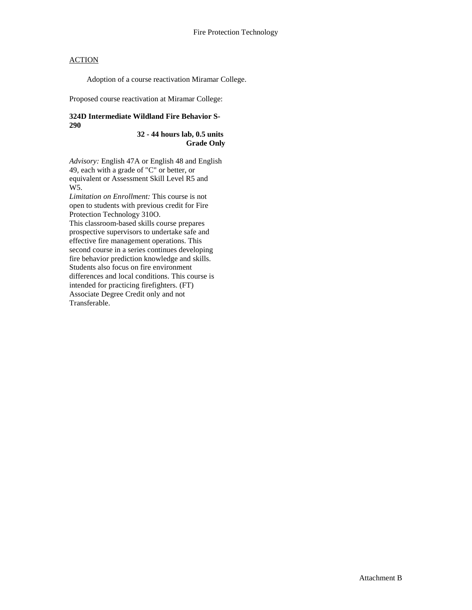## **ACTION**

Adoption of a course reactivation Miramar College.

Proposed course reactivation at Miramar College:

### **324D Intermediate Wildland Fire Behavior S-290**

**32 - 44 hours lab, 0.5 units Grade Only**

*Advisory:* English 47A or English 48 and English 49, each with a grade of "C" or better, or equivalent or Assessment Skill Level R5 and W5.

*Limitation on Enrollment:* This course is not open to students with previous credit for Fire Protection Technology 310O.

This classroom-based skills course prepares prospective supervisors to undertake safe and effective fire management operations. This second course in a series continues developing fire behavior prediction knowledge and skills. Students also focus on fire environment differences and local conditions. This course is intended for practicing firefighters. (FT) Associate Degree Credit only and not Transferable.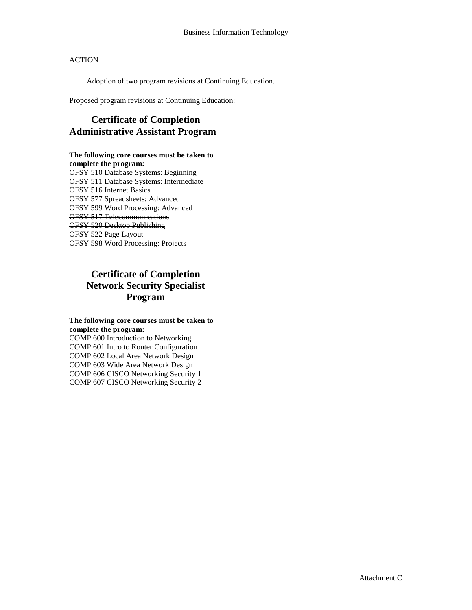### **ACTION**

Adoption of two program revisions at Continuing Education.

Proposed program revisions at Continuing Education:

# **Certificate of Completion Administrative Assistant Program**

### **The following core courses must be taken to complete the program:**

OFSY 510 Database Systems: Beginning OFSY 511 Database Systems: Intermediate OFSY 516 Internet Basics OFSY 577 Spreadsheets: Advanced OFSY 599 Word Processing: Advanced OFSY 517 Telecommunications OFSY 520 Desktop Publishing OFSY 522 Page Layout OFSY 598 Word Processing: Projects

# **Certificate of Completion Network Security Specialist Program**

### **The following core courses must be taken to complete the program:**

COMP 600 Introduction to Networking COMP 601 Intro to Router Configuration COMP 602 Local Area Network Design COMP 603 Wide Area Network Design COMP 606 CISCO Networking Security 1 COMP 607 CISCO Networking Security 2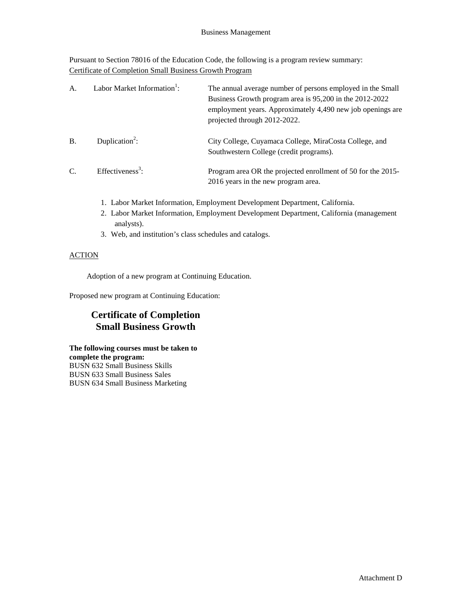Pursuant to Section 78016 of the Education Code, the following is a program review summary: Certificate of Completion Small Business Growth Program

| A.            | Labor Market Information <sup>1</sup> : | The annual average number of persons employed in the Small<br>Business Growth program area is 95,200 in the 2012-2022<br>employment years. Approximately 4,490 new job openings are<br>projected through 2012-2022. |
|---------------|-----------------------------------------|---------------------------------------------------------------------------------------------------------------------------------------------------------------------------------------------------------------------|
| <b>B.</b>     | Duplication <sup>2</sup> :              | City College, Cuyamaca College, MiraCosta College, and<br>Southwestern College (credit programs).                                                                                                                   |
| $\mathcal{C}$ | Effectiveness <sup>3</sup> :            | Program area OR the projected enrollment of 50 for the 2015-<br>2016 years in the new program area.                                                                                                                 |

- 1. Labor Market Information, Employment Development Department, California.
- 2. Labor Market Information, Employment Development Department, California (management analysts).
- 3. Web, and institution's class schedules and catalogs.

## **ACTION**

Adoption of a new program at Continuing Education.

Proposed new program at Continuing Education:

# **Certificate of Completion Small Business Growth**

**The following courses must be taken to complete the program:** BUSN 632 Small Business Skills BUSN 633 Small Business Sales BUSN 634 Small Business Marketing